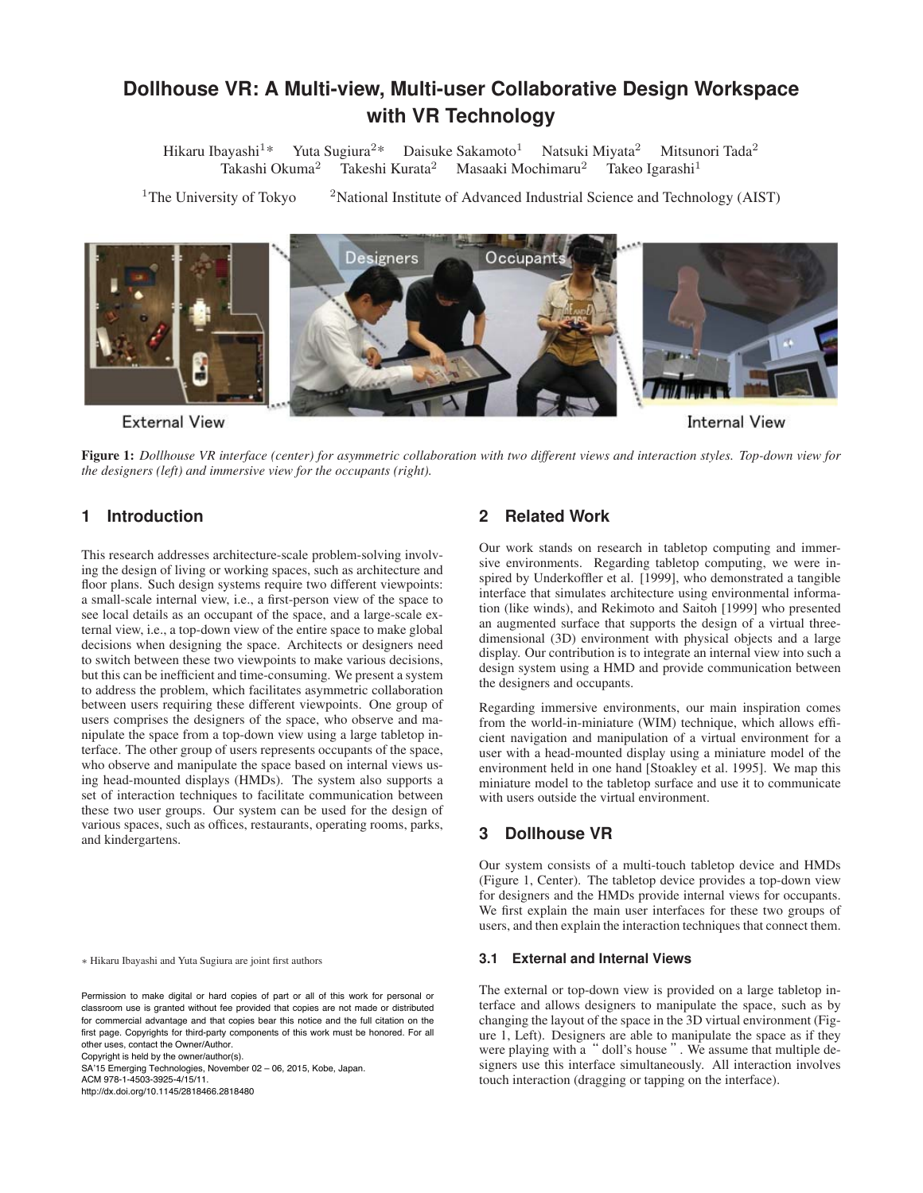# **Dollhouse VR: A Multi-view, Multi-user Collaborative Design Workspace with VR Technology**

Hikaru Ibayashi<sup>1\*</sup> Yuta Sugiura<sup>2\*</sup> Daisuke Sakamoto<sup>1</sup> Natsuki Miyata<sup>2</sup> Mitsunori Tada<sup>2</sup> Takashi Okuma<sup>2</sup> Takeshi Kurata<sup>2</sup> Masaaki Mochimaru<sup>2</sup> Takeo Igarashi<sup>1</sup>

<sup>1</sup>The University of Tokyo <sup>2</sup>National Institute of Advanced Industrial Science and Technology (AIST)



Figure 1: *Dollhouse VR interface (center) for asymmetric collaboration with two different views and interaction styles. Top-down view for the designers (left) and immersive view for the occupants (right).*

# **1 Introduction**

This research addresses architecture-scale problem-solving involving the design of living or working spaces, such as architecture and floor plans. Such design systems require two different viewpoints: a small-scale internal view, i.e., a first-person view of the space to see local details as an occupant of the space, and a large-scale external view, i.e., a top-down view of the entire space to make global decisions when designing the space. Architects or designers need to switch between these two viewpoints to make various decisions, but this can be inefficient and time-consuming. We present a system to address the problem, which facilitates asymmetric collaboration between users requiring these different viewpoints. One group of users comprises the designers of the space, who observe and manipulate the space from a top-down view using a large tabletop interface. The other group of users represents occupants of the space, who observe and manipulate the space based on internal views using head-mounted displays (HMDs). The system also supports a set of interaction techniques to facilitate communication between these two user groups. Our system can be used for the design of various spaces, such as offices, restaurants, operating rooms, parks, and kindergartens.

∗ Hikaru Ibayashi and Yuta Sugiura are joint first authors

Copyright is held by the owner/author(s).

SA'15 Emerging Technologies, November 02 – 06, 2015, Kobe, Japan. ACM 978-1-4503-3925-4/15/11.

http://dx.doi.org/10.1145/2818466.2818480

### **2 Related Work**

Our work stands on research in tabletop computing and immersive environments. Regarding tabletop computing, we were inspired by Underkoffler et al. [1999], who demonstrated a tangible interface that simulates architecture using environmental information (like winds), and Rekimoto and Saitoh [1999] who presented an augmented surface that supports the design of a virtual threedimensional (3D) environment with physical objects and a large display. Our contribution is to integrate an internal view into such a design system using a HMD and provide communication between the designers and occupants.

Regarding immersive environments, our main inspiration comes from the world-in-miniature (WIM) technique, which allows efficient navigation and manipulation of a virtual environment for a user with a head-mounted display using a miniature model of the environment held in one hand [Stoakley et al. 1995]. We map this miniature model to the tabletop surface and use it to communicate with users outside the virtual environment.

### **3 Dollhouse VR**

Our system consists of a multi-touch tabletop device and HMDs (Figure 1, Center). The tabletop device provides a top-down view for designers and the HMDs provide internal views for occupants. We first explain the main user interfaces for these two groups of users, and then explain the interaction techniques that connect them.

#### **3.1 External and Internal Views**

The external or top-down view is provided on a large tabletop interface and allows designers to manipulate the space, such as by changing the layout of the space in the 3D virtual environment (Figure 1, Left). Designers are able to manipulate the space as if they were playing with a " doll's house ". We assume that multiple designers use this interface simultaneously. All interaction involves touch interaction (dragging or tapping on the interface).

Permission to make digital or hard copies of part or all of this work for personal or classroom use is granted without fee provided that copies are not made or distributed for commercial advantage and that copies bear this notice and the full citation on the first page. Copyrights for third-party components of this work must be honored. For all other uses, contact the Owner/Author.